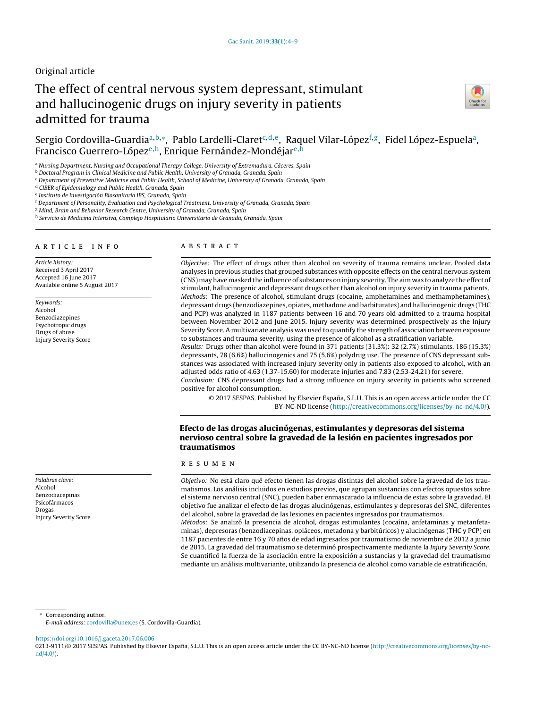# Original article

# The effect of central nervous system depressant, stimulant and hallucinogenic drugs on injury severity in patients admitted for trauma



Sergio Cordovilla-Guardia<sup>a,b,</sup>\*, Pablo Lardelli-Claret<sup>c,d,e</sup>, Raquel Vilar-López<sup>f,g</sup>, Fidel López-Espuelaª, Francisco Guerrero-López<sup>e,h</sup>, Enrique Fernández-Mondéjar<sup>e,h</sup>

a Nursing Department, Nursing and Occupational Therapy College, University of Extremadura, Cáceres, Spain

**b Doctoral Program in Clinical Medicine and Public Health, University of Granada, Granada, Spain** 

<sup>c</sup> Department of Preventive Medicine and Public Health, School of Medicine, University of Granada, Granada, Spain

<sup>d</sup> CIBER of Epidemiology and Public Health, Granada, Spain

<sup>e</sup> Instituto de Investigación Biosanitaria IBS, Granada, Spain

<sup>f</sup> Department of Personality, Evaluation and Psychological Treatment, University of Granada, Granada, Spain

<sup>g</sup> Mind, Brain and Behavior Research Centre, University of Granada, Granada, Spain

h Servicio de Medicina Intensiva, Complejo Hospitalario Universitario de Granada, Granada, Spain

## a r t i c l e i n f o

Article history: Received 3 April 2017 Accepted 16 June 2017 Available online 5 August 2017

Keywords: Alcohol Benzodiazepines Psychotropic drugs Drugs of abuse Injury Severity Score

Palabras clave: Alcohol Benzodiacepinas Psicofármacos Drogas

Injury Severity Score

# a b s t r a c t

Objective: The effect of drugs other than alcohol on severity of trauma remains unclear. Pooled data analyses in previous studies that grouped substances with opposite effects on the central nervous system (CNS) may have masked the influence of substances on injury severity. The aim was to analyze the effect of stimulant, hallucinogenic and depressant drugs other than alcohol on injury severity in trauma patients. Methods: The presence of alcohol, stimulant drugs (cocaine, amphetamines and methamphetamines), depressant drugs (benzodiazepines, opiates, methadone and barbiturates) and hallucinogenic drugs (THC and PCP) was analyzed in 1187 patients between 16 and 70 years old admitted to a trauma hospital between November 2012 and June 2015. Injury severity was determined prospectively as the Injury Severity Score. A multivariate analysis was used to quantify the strength of association between exposure to substances and trauma severity, using the presence of alcohol as a stratification variable.

Results: Drugs other than alcohol were found in 371 patients (31.3%): 32 (2.7%) stimulants, 186 (15.3%) depressants, 78 (6.6%) hallucinogenics and 75 (5.6%) polydrug use. The presence of CNS depressant substances was associated with increased injury severity only in patients also exposed to alcohol, with an adjusted odds ratio of 4.63 (1.37-15.60) for moderate injuries and 7.83 (2.53-24.21) for severe.

Conclusion: CNS depressant drugs had a strong influence on injury severity in patients who screened positive for alcohol consumption.

© 2017 SESPAS. Published by Elsevier España, S.L.U. This is an open access article under the CC BY-NC-ND license [\(http://creativecommons.org/licenses/by-nc-nd/4.0/](http://creativecommons.org/licenses/by-nc-nd/4.0/)).

# Efecto de las drogas alucinógenas, estimulantes y depresoras del sistema nervioso central sobre la gravedad de la lesión en pacientes ingresados por traumatismos

## r e s u m e n

Objetivo: No está claro qué efecto tienen las drogas distintas del alcohol sobre la gravedad de los traumatismos. Los análisis incluidos en estudios previos, que agrupan sustancias con efectos opuestos sobre el sistema nervioso central (SNC), pueden haber enmascarado la influencia de estas sobre la gravedad. El objetivo fue analizar el efecto de las drogas alucinógenas, estimulantes y depresoras del SNC, diferentes del alcohol, sobre la gravedad de las lesiones en pacientes ingresados por traumatismos. Métodos: Se analizó la presencia de alcohol, drogas estimulantes (cocaína, anfetaminas y metanfetaminas), depresoras (benzodiacepinas, opiáceos, metadona y barbitúricos) y alucinógenas (THC y PCP) en

1187 pacientes de entre 16 y 70 años de edad ingresados por traumatismo de noviembre de 2012 a junio de 2015. La gravedad del traumatismo se determinó prospectivamente mediante la Injury Severity Score. Se cuantificó la fuerza de la asociación entre la exposición a sustancias y la gravedad del traumatismo mediante un análisis multivariante, utilizando la presencia de alcohol como variable de estratificación.

∗ Corresponding author.

E-mail address: [cordovilla@unex.es](mailto:cordovilla@unex.es) (S. Cordovilla-Guardia).

<https://doi.org/10.1016/j.gaceta.2017.06.006>

0213-9111/© 2017 SESPAS. Published by Elsevier España, S.L.U. This is an open access article under the CC BY-NC-ND license [\(http://creativecommons.org/licenses/by-nc](http://creativecommons.org/licenses/by-nc-nd/4.0/)[nd/4.0/\)](http://creativecommons.org/licenses/by-nc-nd/4.0/).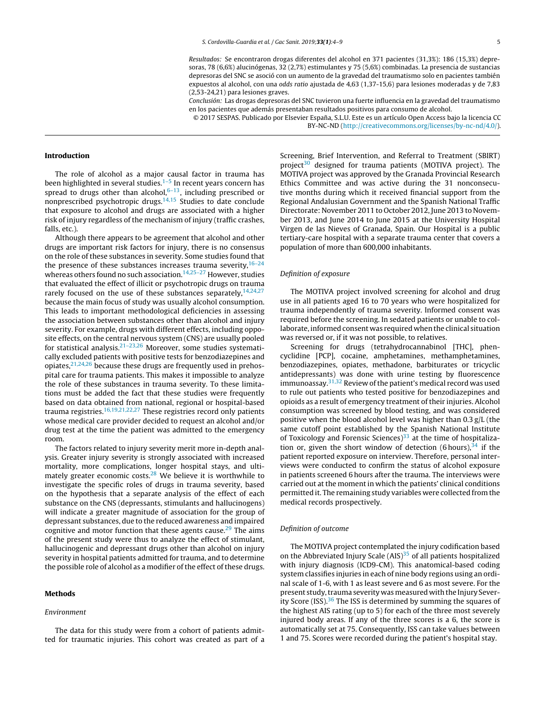Resultados: Se encontraron drogas diferentes del alcohol en 371 pacientes (31,3%): 186 (15,3%) depresoras, 78 (6,6%) alucinógenas, 32 (2,7%) estimulantes y 75 (5,6%) combinadas. La presencia de sustancias depresoras del SNC se asoció con un aumento de la gravedad del traumatismo solo en pacientes también expuestos al alcohol, con una odds ratio ajustada de 4,63 (1,37-15,6) para lesiones moderadas y de 7,83 (2,53-24,21) para lesiones graves.

Conclusión: Las drogas depresoras del SNC tuvieron una fuerte influencia en la gravedad del traumatismo en los pacientes que además presentaban resultados positivos para consumo de alcohol.

© 2017 SESPAS. Publicado por Elsevier España, S.L.U. Este es un artículo Open Access bajo la licencia CC BY-NC-ND [\(http://creativecommons.org/licenses/by-nc-nd/4.0/](http://creativecommons.org/licenses/by-nc-nd/4.0/)).

#### Introduction

The role of alcohol as a major causal factor in trauma has been highlighted in several studies. $1-5$  In recent years concern has spread to drugs other than alcohol, $6-13$ , including prescribed or nonprescribed psychotropic drugs.<sup>[14,15](#page-5-0)</sup> Studies to date conclude that exposure to alcohol and drugs are associated with a higher risk of injury regardless of the mechanism of injury (traffic crashes, falls, etc.).

Although there appears to be agreement that alcohol and other drugs are important risk factors for injury, there is no consensus on the role of these substances in severity. Some studies found that the presence of these substances increases trauma severity,  $16-24$ whereas others found no such association.<sup>14,25-27</sup> However, studies that evaluated the effect of illicit or psychotropic drugs on trauma rarely focused on the use of these substances separately, <sup>[14,24,27](#page-5-0)</sup> because the main focus of study was usually alcohol consumption. This leads to important methodological deficiencies in assessing the association between substances other than alcohol and injury severity. For example, drugs with different effects, including opposite effects, on the central nervous system (CNS) are usually pooled for statistical analysis. $21-23,26$  Moreover, some studies systematically excluded patients with positive tests for benzodiazepines and opiates, $21,24,26$  because these drugs are frequently used in prehospital care for trauma patients. This makes it impossible to analyze the role of these substances in trauma severity. To these limitations must be added the fact that these studies were frequently based on data obtained from national, regional or hospital-based trauma registries.<sup>[16,19,21,22,27](#page-5-0)</sup> These registries record only patients whose medical care provider decided to request an alcohol and/or drug test at the time the patient was admitted to the emergency room.

The factors related to injury severity merit more in-depth analysis. Greater injury severity is strongly associated with increased mortality, more complications, longer hospital stays, and ultimately greater economic costs.[28](#page-5-0) We believe it is worthwhile to investigate the specific roles of drugs in trauma severity, based on the hypothesis that a separate analysis of the effect of each substance on the CNS (depressants, stimulants and hallucinogens) will indicate a greater magnitude of association for the group of depressant substances, due to the reduced awareness and impaired cognitive and motor function that these agents cause.<sup>[29](#page-5-0)</sup> The aims of the present study were thus to analyze the effect of stimulant, hallucinogenic and depressant drugs other than alcohol on injury severity in hospital patients admitted for trauma, and to determine the possible role of alcohol as a modifier of the effect of these drugs.

#### Methods

#### Environment

The data for this study were from a cohort of patients admitted for traumatic injuries. This cohort was created as part of a Screening, Brief Intervention, and Referral to Treatment (SBIRT) project<sup>[30](#page-5-0)</sup> designed for trauma patients (MOTIVA project). The MOTIVA project was approved by the Granada Provincial Research Ethics Committee and was active during the 31 nonconsecutive months during which it received financial support from the Regional Andalusian Government and the Spanish National Traffic Directorate: November 2011 to October 2012, June 2013 to November 2013, and June 2014 to June 2015 at the University Hospital Virgen de las Nieves of Granada, Spain. Our Hospital is a public tertiary-care hospital with a separate trauma center that covers a population of more than 600,000 inhabitants.

## Definition of exposure

The MOTIVA project involved screening for alcohol and drug use in all patients aged 16 to 70 years who were hospitalized for trauma independently of trauma severity. Informed consent was required before the screening. In sedated patients or unable to collaborate, informed consent was required when the clinical situation was reversed or, if it was not possible, to relatives.

Screening for drugs (tetrahydrocannabinol [THC], phencyclidine [PCP], cocaine, amphetamines, methamphetamines, benzodiazepines, opiates, methadone, barbiturates or tricyclic antidepressants) was done with urine testing by fluorescence  $\text{immunoassav.}^{31,32}$  $\text{immunoassav.}^{31,32}$  $\text{immunoassav.}^{31,32}$  Review of the patient's medical record was used to rule out patients who tested positive for benzodiazepines and opioids as a result of emergency treatment of their injuries. Alcohol consumption was screened by blood testing, and was considered positive when the blood alcohol level was higher than 0.3 g/L (the same cutoff point established by the Spanish National Institute of Toxicology and Forensic Sciences) $33$  at the time of hospitalization or, given the short window of detection (6 hours),  $34$  if the patient reported exposure on interview. Therefore, personal interviews were conducted to confirm the status of alcohol exposure in patients screened 6 hours after the trauma. The interviews were carried out at the moment in which the patients' clinical conditions permitted it. The remaining study variables were collected from the medical records prospectively.

#### Definition of outcome

The MOTIVA project contemplated the injury codification based on the Abbreviated Injury Scale  $(AIS)^{35}$  $(AIS)^{35}$  $(AIS)^{35}$  of all patients hospitalized with injury diagnosis (ICD9-CM). This anatomical-based coding system classifies injuries in each of nine body regions using an ordinal scale of 1-6, with 1 as least severe and 6 as most severe. For the present study, trauma severity was measured with the Injury Severity Score (ISS). $36$  The ISS is determined by summing the squares of the highest AIS rating (up to 5) for each of the three most severely injured body areas. If any of the three scores is a 6, the score is automatically set at 75. Consequently, ISS can take values between 1 and 75. Scores were recorded during the patient's hospital stay.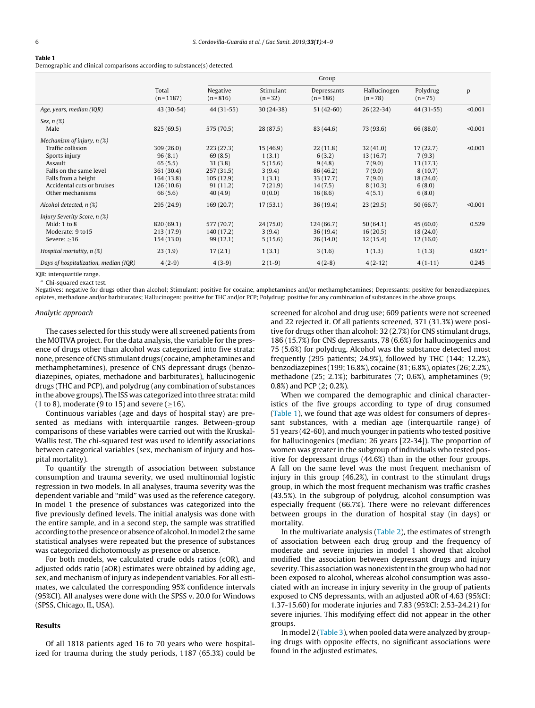# Table 1

Demographic and clinical comparisons according to substance(s) detected.

|                       |                         |                       | Group                      |                            |                        |                    |
|-----------------------|-------------------------|-----------------------|----------------------------|----------------------------|------------------------|--------------------|
| Total<br>$(n = 1187)$ | Negative<br>$(n = 816)$ | Stimulant<br>$(n=32)$ | Depressants<br>$(n = 186)$ | Hallucinogen<br>$(n = 78)$ | Polydrug<br>$(n = 75)$ | p                  |
| 43 (30-54)            | $44(31-55)$             | $30(24-38)$           | $51(42-60)$                | $26(22-34)$                | 44 (31-55)             | < 0.001            |
|                       |                         |                       |                            |                            |                        |                    |
| 825 (69.5)            | 575 (70.5)              | 28(87.5)              | 83 (44.6)                  | 73 (93.6)                  | 66 (88.0)              | < 0.001            |
|                       |                         |                       |                            |                            |                        |                    |
| 309 (26.0)            | 223(27.3)               | 15(46.9)              | 22(11.8)                   | 32(41.0)                   | 17(22.7)               | < 0.001            |
| 96(8.1)               | 69(8.5)                 | 1(3.1)                | 6(3.2)                     | 13(16.7)                   | 7(9.3)                 |                    |
| 65(5.5)               | 31(3.8)                 | 5(15.6)               | 9(4.8)                     | 7(9.0)                     | 13(17.3)               |                    |
| 361 (30.4)            | 257(31.5)               | 3(9.4)                | 86 (46.2)                  | 7(9.0)                     | 8(10.7)                |                    |
| 164(13.8)             | 105(12.9)               | 1(3.1)                | 33 (17.7)                  | 7(9.0)                     | 18(24.0)               |                    |
| 126(10.6)             | 91(11.2)                | 7(21.9)               | 14(7.5)                    | 8(10.3)                    | 6(8.0)                 |                    |
| 66 (5.6)              | 40(4.9)                 | 0(0.0)                | 16(8.6)                    | 4(5.1)                     | 6(8.0)                 |                    |
| 295 (24.9)            | 169(20.7)               | 17(53.1)              | 36(19.4)                   | 23(29.5)                   | 50 (66.7)              | < 0.001            |
|                       |                         |                       |                            |                            |                        |                    |
| 820 (69.1)            | 577 (70.7)              | 24(75.0)              | 124(66.7)                  | 50(64.1)                   | 45(60.0)               | 0.529              |
| 213 (17.9)            | 140 (17.2)              | 3(9.4)                | 36(19.4)                   | 16(20.5)                   | 18(24.0)               |                    |
| 154 (13.0)            | 99(12.1)                | 5(15.6)               | 26(14.0)                   | 12(15.4)                   | 12(16.0)               |                    |
| 23(1.9)               | 17(2.1)                 | 1(3.1)                | 3(1.6)                     | 1(1.3)                     | 1(1.3)                 | 0.921 <sup>a</sup> |
| $4(2-9)$              | $4(3-9)$                | $2(1-9)$              | $4(2-8)$                   | $4(2-12)$                  | $4(1-11)$              | 0.245              |
|                       |                         |                       |                            |                            |                        |                    |

IQR: interquartile range. <sup>a</sup> Chi-squared exact test.

Negatives: negative for drugs other than alcohol; Stimulant: positive for cocaine, amphetamines and/or methamphetamines; Depressants: positive for benzodiazepines, opiates, methadone and/or barbiturates; Hallucinogen: positive for THC and/or PCP; Polydrug: positive for any combination of substances in the above groups.

#### Analytic approach

The cases selected for this study were all screened patients from the MOTIVA project. For the data analysis, the variable for the presence of drugs other than alcohol was categorized into five strata: none, presence of CNS stimulant drugs (cocaine, amphetamines and methamphetamines), presence of CNS depressant drugs (benzodiazepines, opiates, methadone and barbiturates), hallucinogenic drugs (THC and PCP), and polydrug (any combination of substances in the above groups). The ISS was categorized into three strata: mild (1 to 8), moderate (9 to 15) and severe ( $\geq$ 16).

Continuous variables (age and days of hospital stay) are presented as medians with interquartile ranges. Between-group comparisons of these variables were carried out with the Kruskal-Wallis test. The chi-squared test was used to identify associations between categorical variables (sex, mechanism of injury and hospital mortality).

To quantify the strength of association between substance consumption and trauma severity, we used multinomial logistic regression in two models. In all analyses, trauma severity was the dependent variable and "mild" was used as the reference category. In model 1 the presence of substances was categorized into the five previously defined levels. The initial analysis was done with the entire sample, and in a second step, the sample was stratified according to the presence or absence of alcohol. In model 2 the same statistical analyses were repeated but the presence of substances was categorized dichotomously as presence or absence.

For both models, we calculated crude odds ratios (cOR), and adjusted odds ratio (aOR) estimates were obtained by adding age, sex, and mechanism of injury as independent variables. For all estimates, we calculated the corresponding 95% confidence intervals (95%CI). All analyses were done with the SPSS v. 20.0 for Windows (SPSS, Chicago, IL, USA).

#### Results

Of all 1818 patients aged 16 to 70 years who were hospitalized for trauma during the study periods, 1187 (65.3%) could be screened for alcohol and drug use; 609 patients were not screened and 22 rejected it. Of all patients screened, 371 (31.3%) were positive for drugs other than alcohol: 32 (2.7%) for CNS stimulant drugs, 186 (15.7%) for CNS depressants, 78 (6.6%) for hallucinogenics and 75 (5.6%) for polydrug. Alcohol was the substance detected most frequently (295 patients; 24.9%), followed by THC (144; 12.2%), benzodiazepines (199; 16.8%), cocaine (81; 6.8%), opiates (26; 2.2%), methadone (25; 2.1%); barbiturates (7; 0.6%), amphetamines (9; 0.8%) and PCP (2; 0.2%).

When we compared the demographic and clinical characteristics of the five groups according to type of drug consumed (Table 1), we found that age was oldest for consumers of depressant substances, with a median age (interquartile range) of 51 years (42-60), and much younger in patients who tested positive for hallucinogenics (median: 26 years [22-34]). The proportion of women was greater in the subgroup of individuals who tested positive for depressant drugs (44.6%) than in the other four groups. A fall on the same level was the most frequent mechanism of injury in this group (46.2%), in contrast to the stimulant drugs group, in which the most frequent mechanism was traffic crashes (43.5%). In the subgroup of polydrug, alcohol consumption was especially frequent (66.7%). There were no relevant differences between groups in the duration of hospital stay (in days) or mortality.

In the multivariate analysis ([Table](#page-3-0) 2), the estimates of strength of association between each drug group and the frequency of moderate and severe injuries in model 1 showed that alcohol modified the association between depressant drugs and injury severity. This association was nonexistent in the group who had not been exposed to alcohol, whereas alcohol consumption was associated with an increase in injury severity in the group of patients exposed to CNS depressants, with an adjusted aOR of 4.63 (95%CI: 1.37-15.60) for moderate injuries and 7.83 (95%CI: 2.53-24.21) for severe injuries. This modifying effect did not appear in the other groups.

In model 2 ([Table](#page-3-0) 3), when pooled data were analyzed by grouping drugs with opposite effects, no significant associations were found in the adjusted estimates.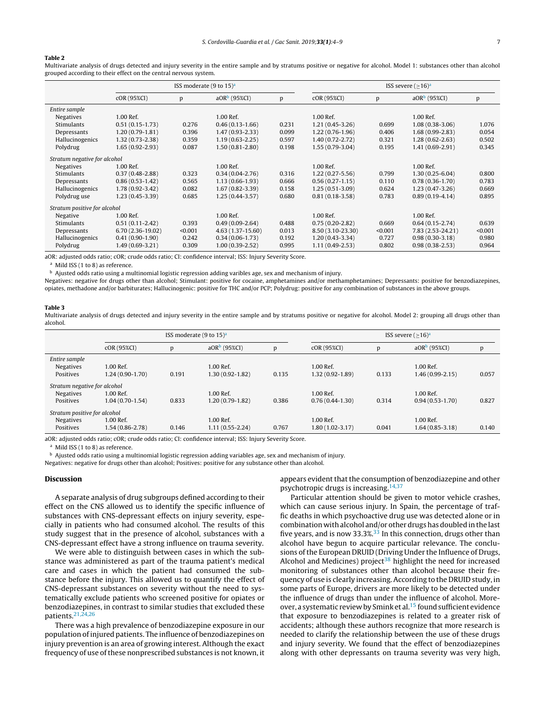#### <span id="page-3-0"></span>Table 2

Multivariate analysis of drugs detected and injury severity in the entire sample and by stratums positive or negative for alcohol. Model 1: substances other than alcohol grouped according to their effect on the central nervous system.

|                              | ISS moderate (9 to $15$ <sup>a</sup> ) <sup>a</sup> |         |                     |       | ISS severe $(>16)^a$ |         |                     |         |
|------------------------------|-----------------------------------------------------|---------|---------------------|-------|----------------------|---------|---------------------|---------|
|                              | cOR (95%CI)                                         | p       | $aORb$ (95%CI)      | D     | cOR (95%CI)          | p       | $aORb$ (95%CI)      | p       |
| Entire sample                |                                                     |         |                     |       |                      |         |                     |         |
| Negatives                    | 1.00 Ref.                                           |         | 1.00 Ref.           |       | 1.00 Ref.            |         | 1.00 Ref.           |         |
| Stimulants                   | $0.51(0.15-1.73)$                                   | 0.276   | $0.46(0.13 - 1.66)$ | 0.231 | $1.21(0.45-3.26)$    | 0.699   | $1.08(0.38-3.06)$   | 1.076   |
| Depressants                  | $1,20(0.79-1.81)$                                   | 0.396   | $1.47(0.93 - 2.33)$ | 0.099 | $1.22(0.76-1.96)$    | 0.406   | $1.68(0.99-2.83)$   | 0.054   |
| Hallucinogenics              | $1.32(0.73 - 2.38)$                                 | 0.359   | $1.19(0.63 - 2.25)$ | 0.597 | $1.40(0.72 - 2.72)$  | 0.321   | $1.28(0.62 - 2.63)$ | 0.502   |
| Polydrug                     | $1.65(0.92 - 2.93)$                                 | 0.087   | $1.50(0.81 - 2.80)$ | 0.198 | $1.55(0.79-3.04)$    | 0.195   | $1.41(0.69 - 2.91)$ | 0.345   |
| Stratum negative for alcohol |                                                     |         |                     |       |                      |         |                     |         |
| Negatives                    | 1.00 Ref.                                           |         | $1.00$ Ref.         |       | $1.00$ Ref.          |         | $1.00$ Ref.         |         |
| Stimulants                   | $0.37(0.48 - 2.88)$                                 | 0.323   | $0.34(0.04-2.76)$   | 0.316 | $1.22(0.27 - 5.56)$  | 0.799   | $1.30(0.25 - 6.04)$ | 0.800   |
| Depressants                  | $0.86(0.53 - 1.42)$                                 | 0.565   | $1.13(0.66-1.93)$   | 0.666 | $0.56(0.27-1.15)$    | 0.110   | $0.78(0.36-1.70)$   | 0.783   |
| <b>Hallucinogenics</b>       | $1.78(0.92 - 3.42)$                                 | 0.082   | $1.67(0.82 - 3.39)$ | 0.158 | $1.25(0.51-3.09)$    | 0.624   | $1.23(0.47-3.26)$   | 0.669   |
| Polydrug use                 | $1.23(0.45-3.39)$                                   | 0.685   | $1.25(0.44-3.57)$   | 0.680 | $0.81(0.18-3.58)$    | 0.783   | $0.89(0.19-4.14)$   | 0.895   |
| Stratum positive for alcohol |                                                     |         |                     |       |                      |         |                     |         |
| Negative                     | 1.00 Ref.                                           |         | 1.00 Ref.           |       | 1.00 Ref.            |         | 1.00 Ref.           |         |
| Stimulants                   | $0.51(0.11-2.42)$                                   | 0.393   | $0.49(0.09-2.64)$   | 0.488 | $0.75(0.20-2.82)$    | 0.669   | $0.64(0.15-2.74)$   | 0.639   |
| Depressants                  | $6.70(2.36-19.02)$                                  | < 0.001 | 4.63 (1.37-15.60)   | 0.013 | 8.50 (3.10-23.30)    | < 0.001 | 7.83 (2.53-24.21)   | < 0.001 |
| Hallucinogenics              | $0.41(0.90-1.90)$                                   | 0.242   | $0.34(0.06-1.73)$   | 0.192 | $1.20(0.43 - 3.34)$  | 0.727   | $0.98(0.30-3.18)$   | 0.980   |
| Polydrug                     | $1.49(0.69 - 3.21)$                                 | 0.309   | $1.00(0.39-2.52)$   | 0.995 | $1.11(0.49-2.53)$    | 0.802   | $0.98(0.38 - 2.53)$ | 0.964   |

aOR: adjusted odds ratio; cOR; crude odds ratio; CI: confidence interval; ISS: Injury Severity Score.

<sup>a</sup> Mild ISS (1 to 8) as reference.

<sup>b</sup> Ajusted odds ratio using a multinomial logistic regression adding varibles age, sex and mechanism of injury.

Negatives: negative for drugs other than alcohol; Stimulant: positive for cocaine, amphetamines and/or methamphetamines; Depressants: positive for benzodiazepines, opiates, methadone and/or barbiturates; Hallucinogenic: positive for THC and/or PCP; Polydrug: positive for any combination of substances in the above groups.

#### Table 3

Multivariate analysis of drugs detected and injury severity in the entire sample and by stratums positive or negative for alcohol. Model 2: grouping all drugs other than alcohol.

|                              | ISS moderate (9 to $15$ <sup>a</sup> ) <sup>a</sup> |       |                     |       | ISS severe $(>16)^a$ |       |                     |       |
|------------------------------|-----------------------------------------------------|-------|---------------------|-------|----------------------|-------|---------------------|-------|
|                              | cOR (95%CI)                                         | p     | $aORb$ (95%CI)      | p     | cOR (95%CI)          | p     | $aORb$ (95%CI)      | p     |
| Entire sample                |                                                     |       |                     |       |                      |       |                     |       |
| Negatives                    | $1.00$ Ref.                                         |       | 1.00 Ref.           |       | $1.00$ Ref.          |       | 1.00 Ref.           |       |
| Positives                    | $1.24(0.90-1.70)$                                   | 0.191 | $1.30(0.92 - 1.82)$ | 0.135 | 1.32 (0.92-1.89)     | 0.133 | $1.46(0.99-2.15)$   | 0.057 |
| Stratum negative for alcohol |                                                     |       |                     |       |                      |       |                     |       |
| Negatives                    | 1.00 Ref.                                           |       | $1.00$ Ref.         |       | $1.00$ Ref.          |       | $1.00$ Ref.         |       |
| Positives                    | $1.04(0.70-1.54)$                                   | 0.833 | 1.20 (0.79-1.82)    | 0.386 | $0.76(0.44 - 1.30)$  | 0.314 | $0.94(0.53 - 1.70)$ | 0.827 |
| Stratum positive for alcohol |                                                     |       |                     |       |                      |       |                     |       |
| Negatives                    | 1.00 Ref.                                           |       | $1.00$ Ref.         |       | 1.00 Ref.            |       | 1.00 Ref.           |       |
| Positives                    | 1.54 (0.86-2.78)                                    | 0.146 | $1.11(0.55 - 2.24)$ | 0.767 | $1.80(1.02 - 3.17)$  | 0.041 | $1.64(0.85 - 3.18)$ | 0.140 |

aOR: adjusted odds ratio; cOR; crude odds ratio; CI: confidence interval; ISS: Injury Severity Score.

<sup>a</sup> Mild ISS (1 to 8) as reference.

<sup>b</sup> Ajusted odds ratio using a multinomial logistic regression adding variables age, sex and mechanism of injury.

Negatives: negative for drugs other than alcohol; Positives: positive for any substance other than alcohol.

#### Discussion

A separate analysis of drug subgroups defined according to their effect on the CNS allowed us to identify the specific influence of substances with CNS-depressant effects on injury severity, especially in patients who had consumed alcohol. The results of this study suggest that in the presence of alcohol, substances with a CNS-depressant effect have a strong influence on trauma severity.

We were able to distinguish between cases in which the substance was administered as part of the trauma patient's medical care and cases in which the patient had consumed the substance before the injury. This allowed us to quantify the effect of CNS-depressant substances on severity without the need to systematically exclude patients who screened positive for opiates or benzodiazepines, in contrast to similar studies that excluded these patients.[21,24,26](#page-5-0)

There was a high prevalence of benzodiazepine exposure in our population of injured patients. The influence of benzodiazepines on injury prevention is an area of growing interest. Although the exact frequency of use of these nonprescribed substances is not known, it appears evident that the consumption of benzodiazepine and other psychotropic drugs is increasing. $14,37$ 

Particular attention should be given to motor vehicle crashes, which can cause serious injury. In Spain, the percentage of traffic deaths in which psychoactive drug use was detected alone or in combination with alcohol and/or other drugs has doubled in the last five years, and is now  $33.3\%$  $33.3\%$ <sup>33</sup> In this connection, drugs other than alcohol have begun to acquire particular relevance. The conclusions of the European DRUID (Driving Under the Influence of Drugs, Alcohol and Medicines) project<sup>[38](#page-5-0)</sup> highlight the need for increased monitoring of substances other than alcohol because their frequency of use is clearly increasing. According to the DRUID study, in some parts of Europe, drivers are more likely to be detected under the influence of drugs than under the influence of alcohol. More-over, a systematic review by Smink et al.<sup>[15](#page-5-0)</sup> found sufficient evidence that exposure to benzodiazepines is related to a greater risk of accidents; although these authors recognize that more research is needed to clarify the relationship between the use of these drugs and injury severity. We found that the effect of benzodiazepines along with other depressants on trauma severity was very high,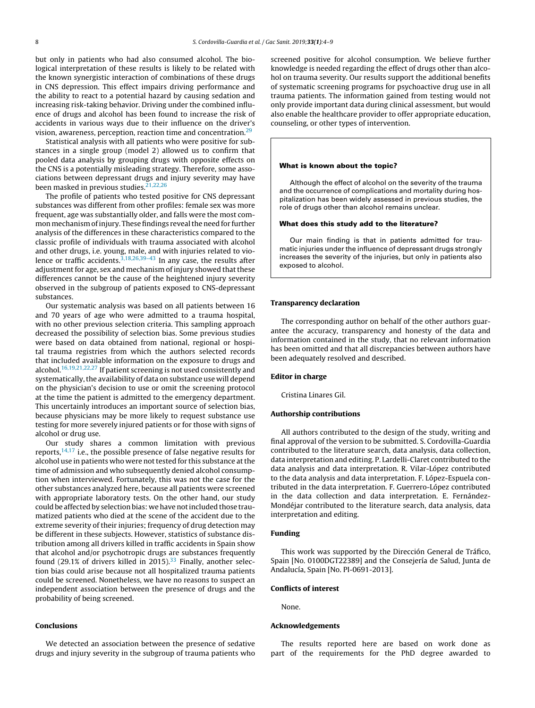but only in patients who had also consumed alcohol. The biological interpretation of these results is likely to be related with the known synergistic interaction of combinations of these drugs in CNS depression. This effect impairs driving performance and the ability to react to a potential hazard by causing sedation and increasing risk-taking behavior. Driving under the combined influence of drugs and alcohol has been found to increase the risk of accidents in various ways due to their influence on the driver's vision, awareness, perception, reaction time and concentration.[29](#page-5-0)

Statistical analysis with all patients who were positive for substances in a single group (model 2) allowed us to confirm that pooled data analysis by grouping drugs with opposite effects on the CNS is a potentially misleading strategy. Therefore, some associations between depressant drugs and injury severity may have been masked in previous studies.<sup>[21,22,26](#page-5-0)</sup>

The profile of patients who tested positive for CNS depressant substances was different from other profiles: female sex was more frequent, age was substantially older, and falls were the most common mechanism of injury. These findings reveal the need for further analysis of the differences in these characteristics compared to the classic profile of individuals with trauma associated with alcohol and other drugs, i.e. young, male, and with injuries related to violence or traffic accidents.  $3,18,26,39-43$  In any case, the results after adjustment for age, sex and mechanism of injury showed that these differences cannot be the cause of the heightened injury severity observed in the subgroup of patients exposed to CNS-depressant substances.

Our systematic analysis was based on all patients between 16 and 70 years of age who were admitted to a trauma hospital, with no other previous selection criteria. This sampling approach decreased the possibility of selection bias. Some previous studies were based on data obtained from national, regional or hospital trauma registries from which the authors selected records that included available information on the exposure to drugs and alcohol.<sup>[16,19,21,22,27](#page-5-0)</sup> If patient screening is not used consistently and systematically, the availability of data on substance use will depend on the physician's decision to use or omit the screening protocol at the time the patient is admitted to the emergency department. This uncertainly introduces an important source of selection bias, because physicians may be more likely to request substance use testing for more severely injured patients or for those with signs of alcohol or drug use.

Our study shares a common limitation with previous reports, $14,17$  i.e., the possible presence of false negative results for alcohol use in patients who were not tested for this substance at the time of admission and who subsequently denied alcohol consumption when interviewed. Fortunately, this was not the case for the other substances analyzed here, because all patients were screened with appropriate laboratory tests. On the other hand, our study could be affected by selection bias: we have not included those traumatized patients who died at the scene of the accident due to the extreme severity of their injuries; frequency of drug detection may be different in these subjects. However, statistics of substance distribution among all drivers killed in traffic accidents in Spain show that alcohol and/or psychotropic drugs are substances frequently found (29.1% of drivers killed in 2015). $33$  Finally, another selection bias could arise because not all hospitalized trauma patients could be screened. Nonetheless, we have no reasons to suspect an independent association between the presence of drugs and the probability of being screened.

## Conclusions

We detected an association between the presence of sedative drugs and injury severity in the subgroup of trauma patients who screened positive for alcohol consumption. We believe further knowledge is needed regarding the effect of drugs other than alcohol on trauma severity. Our results support the additional benefits of systematic screening programs for psychoactive drug use in all trauma patients. The information gained from testing would not only provide important data during clinical assessment, but would also enable the healthcare provider to offer appropriate education, counseling, or other types of intervention.

#### What is known about the topic?

Although the effect of alcohol on the severity of the trauma and the occurrence of complications and mortality during hospitalization has been widely assessed in previous studies, the role of drugs other than alcohol remains unclear.

#### What does this study add to the literature?

Our main finding is that in patients admitted for traumatic injuries under the influence of depressant drugs strongly increases the severity of the injuries, but only in patients also exposed to alcohol.

## Transparency declaration

The corresponding author on behalf of the other authors guarantee the accuracy, transparency and honesty of the data and information contained in the study, that no relevant information has been omitted and that all discrepancies between authors have been adequately resolved and described.

## Editor in charge

Cristina Linares Gil.

# Authorship contributions

All authors contributed to the design of the study, writing and final approval of the version to be submitted. S. Cordovilla-Guardia contributed to the literature search, data analysis, data collection, data interpretation and editing. P. Lardelli-Claret contributed to the data analysis and data interpretation. R. Vilar-López contributed to the data analysis and data interpretation. F. López-Espuela contributed in the data interpretation. F. Guerrero-López contributed in the data collection and data interpretation. E. Fernández-Mondéjar contributed to the literature search, data analysis, data interpretation and editing.

## Funding

This work was supported by the Dirección General de Tráfico, Spain [No. 0100DGT22389] and the Consejería de Salud, Junta de Andalucía, Spain [No. PI-0691-2013].

#### Conflicts of interest

None.

## Acknowledgements

The results reported here are based on work done as part of the requirements for the PhD degree awarded to